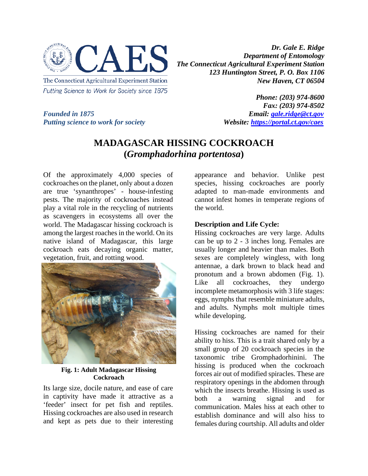

*Dr. Gale E. Ridge Department of Entomology The Connecticut Agricultural Experiment Station 123 Huntington Street, P. O. Box 1106 New Haven, CT 06504*

*Putting science to work for society* 

*Phone: (203) 974-8600 Fax: (203) 974-8502 Founded in 1875*<br>*Putting science to work for society*<br>*Website: https://portal.ct.gov/caes* 

## **MADAGASCAR HISSING COCKROACH (***Gromphadorhina portentosa***)**

Of the approximately 4,000 species of cockroaches on the planet, only about a dozen are true 'synanthropes' - house-infesting pests. The majority of cockroaches instead play a vital role in the recycling of nutrients as scavengers in ecosystems all over the world. The Madagascar hissing cockroach is among the largest roaches in the world. On its native island of Madagascar, this large cockroach eats decaying organic matter, vegetation, fruit, and rotting wood.



**Fig. 1: Adult Madagascar Hissing Cockroach**

Its large size, docile nature, and ease of care in captivity have made it attractive as a 'feeder' insect for pet fish and reptiles. Hissing cockroaches are also used in research and kept as pets due to their interesting

appearance and behavior. Unlike pest species, hissing cockroaches are poorly adapted to man-made environments and cannot infest homes in temperate regions of the world.

## **Description and Life Cycle:**

Hissing cockroaches are very large. Adults can be up to 2 - 3 inches long. Females are usually longer and heavier than males. Both sexes are completely wingless, with long antennae, a dark brown to black head and pronotum and a brown abdomen (Fig. 1). Like all cockroaches, they undergo incomplete metamorphosis with 3 life stages: eggs, nymphs that resemble miniature adults, and adults. Nymphs molt multiple times while developing.

Hissing cockroaches are named for their ability to hiss. This is a trait shared only by a small group of 20 cockroach species in the taxonomic tribe Gromphadorhinini. The hissing is produced when the cockroach forces air out of modified spiracles. These are respiratory openings in the abdomen through which the insects breathe. Hissing is used as both a warning signal and for communication. Males hiss at each other to establish dominance and will also hiss to females during courtship. All adults and older